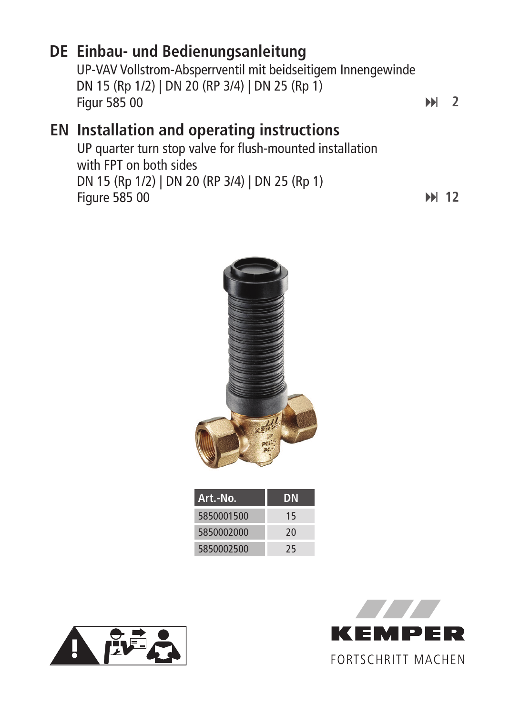### UP-VAV Vollstrom-Absperrventil mit beidseitigem Innengewinde DN 15 (Rp 1/2) | DN 20 (RP 3/4) | DN 25 (Rp 1) Figur 585 00 **EN Installation and operating instructions** UP quarter turn stop valve for flush-mounted installation with FPT on both sides DN 15 (Rp 1/2) | DN 20 (RP 3/4) | DN 25 (Rp 1) Figure 585 00 **2 12**

**DE Einbau- und Bedienungsanleitung**



| Art.-No.   | DN |
|------------|----|
| 5850001500 | 15 |
| 5850002000 | 20 |
| 5850002500 | 25 |



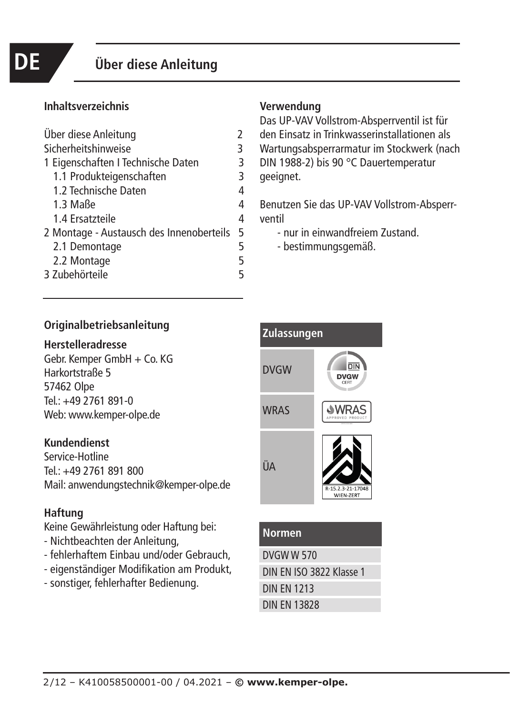# **DE Über diese Anleitung**

### **Inhaltsverzeichnis**

| Über diese Anleitung                     | $\mathfrak z$ |
|------------------------------------------|---------------|
| Sicherheitshinweise                      | 3             |
| 1 Eigenschaften I Technische Daten       | 3             |
| 1.1 Produkteigenschaften                 | 3             |
| 1.2 Technische Daten                     | 4             |
| 1.3 Maße                                 | 4             |
| 1.4 Ersatzteile                          | 4             |
| 2 Montage - Austausch des Innenoberteils | 5             |
| 2.1 Demontage                            | 5             |
| 2.2 Montage                              | 5             |
| 3 Zubehörteile                           | 5             |

#### **Verwendung**

Das UP-VAV Vollstrom-Absperrventil ist für den Einsatz in Trinkwasserinstallationen als Wartungsabsperrarmatur im Stockwerk (nach DIN 1988-2) bis 90 °C Dauertemperatur geeignet.

Benutzen Sie das UP-VAV Vollstrom-Absperrventil

- nur in einwandfreiem Zustand.
- bestimmungsgemäß.

### **Originalbetriebsanleitung**

#### **Herstelleradresse**

Gebr. Kemper GmbH + Co. KG Harkortstraße 5 57462 Olpe Tel.: +49 2761 891-0 Web: www.kemper-olpe.de

#### **Kundendienst**

Service-Hotline Tel.: +49 2761 891 800 Mail: anwendungstechnik@kemper-olpe.de

### **Haftung**

Keine Gewährleistung oder Haftung bei:

- Nichtbeachten der Anleitung,
- fehlerhaftem Einbau und/oder Gebrauch,
- eigenständiger Modifikation am Produkt,
- sonstiger, fehlerhafter Bedienung.



| <b>Normen</b>            |
|--------------------------|
| <b>DVGWW 570</b>         |
| DIN EN ISO 3822 Klasse 1 |
| <b>DIN FN 1213</b>       |
| <b>DIN EN 13828</b>      |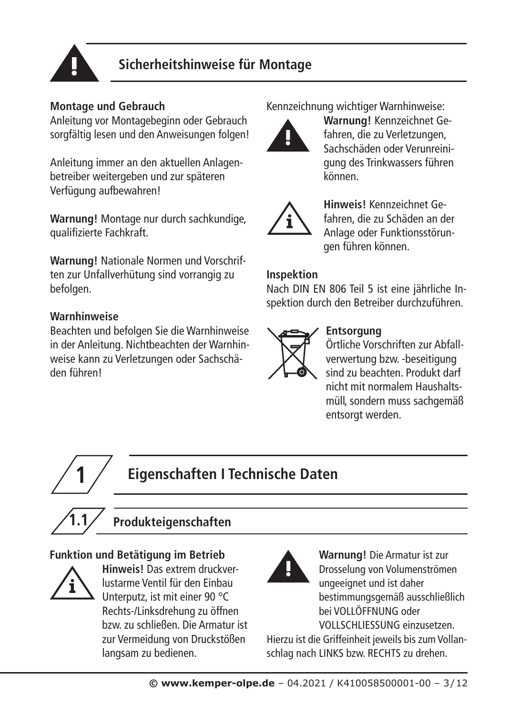

### **Sicherheitshinweise für Montage**

### **Montage und Gebrauch**

Anleitung vor Montagebeginn oder Gebrauch sorgfältig lesen und den Anweisungen folgen!

Anleitung immer an den aktuellen Anlagenbetreiber weitergeben und zur späteren Verfügung aufbewahren!

**Warnung!** Montage nur durch sachkundige, qualifizierte Fachkraft.

**Warnung!** Nationale Normen und Vorschriften zur Unfallverhütung sind vorrangig zu befolgen.

### **Warnhinweise**

Beachten und befolgen Sie die Warnhinweise in der Anleitung. Nichtbeachten der Warnhinweise kann zu Verletzungen oder Sachschäden führen!

Kennzeichnung wichtiger Warnhinweise:



**Warnung!** Kennzeichnet Gefahren, die zu Verletzungen, Sachschäden oder Verunreinigung des Trinkwassers führen können.



**Hinweis!** Kennzeichnet Gefahren, die zu Schäden an der Anlage oder Funktionsstörungen führen können.

### **Inspektion**

Nach DIN EN 806 Teil 5 ist eine jährliche Inspektion durch den Betreiber durchzuführen.



### **Entsorgung**

Örtliche Vorschriften zur Abfallverwertung bzw. -beseitigung sind zu beachten. Produkt darf nicht mit normalem Haushaltsmüll, sondern muss sachgemäß entsorgt werden.

# **1 Eigenschaften I Technische Daten**

# **1.1 Produkteigenschaften**

### **Funktion und Betätigung im Betrieb**



**Hinweis!** Das extrem druckverlustarme Ventil für den Einbau Unterputz, ist mit einer 90 °C Rechts-/Linksdrehung zu öffnen bzw. zu schließen. Die Armatur ist zur Vermeidung von Druckstößen langsam zu bedienen.



**Warnung!** Die Armatur ist zur Drosselung von Volumenströmen ungeeignet und ist daher bestimmungsgemäß ausschließlich bei VOLLÖFFNUNG oder VOLLSCHLIESSUNG einzusetzen.

Hierzu ist die Griffeinheit jeweils bis zum Vollanschlag nach LINKS bzw. RECHTS zu drehen.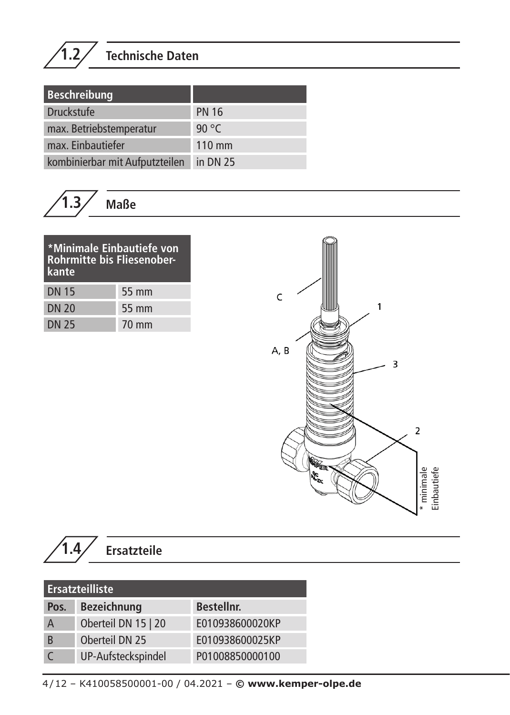# **1.2 Technische Daten**

| <b>Beschreibung</b>            |                  |
|--------------------------------|------------------|
| <b>Druckstufe</b>              | <b>PN 16</b>     |
| max. Betriebstemperatur        | $90^{\circ}$ C   |
| max. Einbautiefer              | $110 \text{ mm}$ |
| kombinierbar mit Aufputzteilen | in $DN$ 25       |

**1.3 Maße**

**\*Minimale Einbautiefe von Rohrmitte bis Fliesenoberkante**

| <b>DN 15</b> | 55 mm |
|--------------|-------|
| DN 20        | 55 mm |
| <b>DN 25</b> | 70 mm |



| с.       |
|----------|
| נ<br>. . |

**Ersat** 

| zteilliste         |              |
|--------------------|--------------|
| <b>Bezeichnung</b> | <b>Beste</b> |

| Pos.         | <b>Bezeichnung</b>  | Bestellnr.      |
|--------------|---------------------|-----------------|
| A            | Oberteil DN 15   20 | E010938600020KP |
| <sup>B</sup> | Oberteil DN 25      | E010938600025KP |
| C            | UP-Aufsteckspindel  | P01008850000100 |
|              |                     |                 |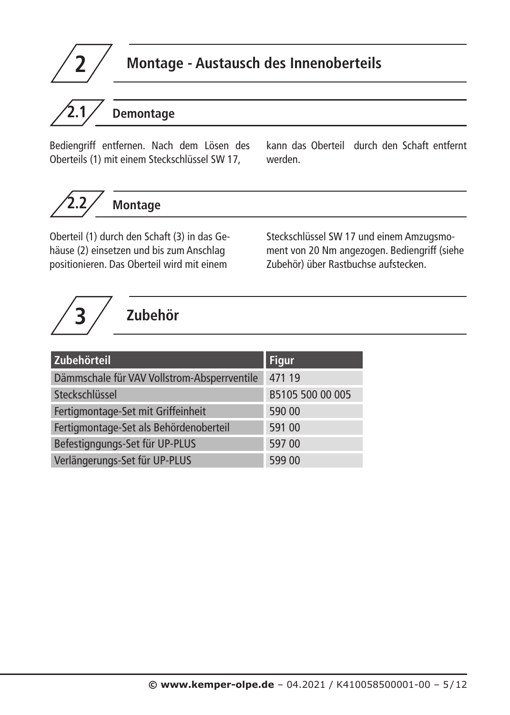

# **2 Montage - Austausch des Innenoberteils**

**2.1 Demontage**

Bediengriff entfernen. Nach dem Lösen des Oberteils (1) mit einem Steckschlüssel SW 17,

kann das Oberteil durch den Schaft entfernt werden.



Oberteil (1) durch den Schaft (3) in das Gehäuse (2) einsetzen und bis zum Anschlag positionieren. Das Oberteil wird mit einem

Steckschlüssel SW 17 und einem Amzugsmoment von 20 Nm angezogen. Bediengriff (siehe Zubehör) über Rastbuchse aufstecken.



# **3 Zubehör**

| Zubehörteil                                 | <b>Figur</b>     |
|---------------------------------------------|------------------|
| Dämmschale für VAV Vollstrom-Absperrventile | 471 19           |
| Steckschlüssel                              | B5105 500 00 005 |
| Fertigmontage-Set mit Griffeinheit          | 590 00           |
| Fertigmontage-Set als Behördenoberteil      | 591 00           |
| Befestigngungs-Set für UP-PLUS              | 597 00           |
| Verlängerungs-Set für UP-PLUS               | 599 00           |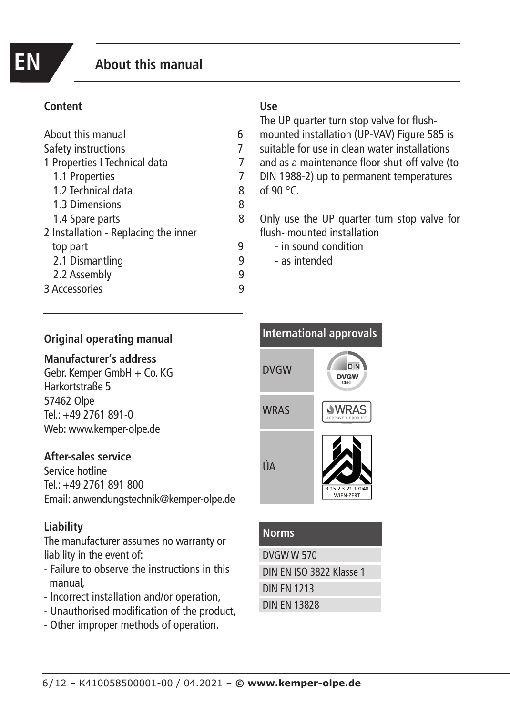# **EN About this manual**

### **Content**

| About this manual                    |   |
|--------------------------------------|---|
| Safety instructions                  |   |
| 1 Properties I Technical data        |   |
| 1.1 Properties                       |   |
| 1.2 Technical data                   | 8 |
| 1.3 Dimensions                       | 8 |
| 1.4 Spare parts                      | 8 |
| 2 Installation - Replacing the inner |   |
| top part                             | 9 |
| 2.1 Dismantling                      | 9 |
| 2.2 Assembly                         | 9 |
| 3 Accessories                        | q |
|                                      |   |

### **Use**

The UP quarter turn stop valve for flushmounted installation (UP-VAV) Figure 585 is suitable for use in clean water installations and as a maintenance floor shut-off valve (to DIN 1988-2) up to permanent temperatures of 90 $\degree$ C

Only use the UP quarter turn stop valve for flush- mounted installation

- in sound condition
- as intended

### **Original operating manual**

### **Manufacturer's address**

Gebr. Kemper GmbH + Co. KG Harkortstraße 5 57462 Olpe Tel.: +49 2761 891-0 Web: www.kemper-olpe.de

### **After-sales service**

Service hotline Tel.: +49 2761 891 800 Email: anwendungstechnik@kemper-olpe.de

### **Liability**

The manufacturer assumes no warranty or liability in the event of:

- Failure to observe the instructions in this manual,
- Incorrect installation and/or operation,
- Unauthorised modification of the product,
- Other improper methods of operation.



| <b>Norms</b>             |
|--------------------------|
| <b>DVGWW 570</b>         |
| DIN FN ISO 3822 Klasse 1 |
| <b>DIN FN 1213</b>       |
| <b>DIN EN 13828</b>      |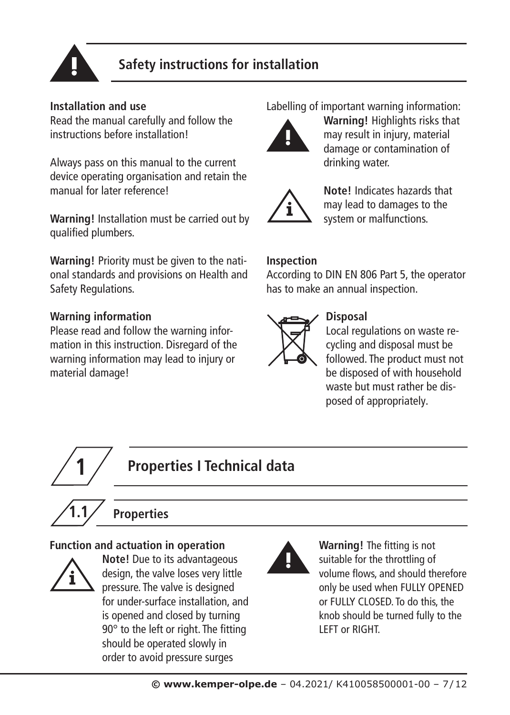

### **Safety instructions for installation**

### **Installation and use**

Read the manual carefully and follow the instructions before installation!

Always pass on this manual to the current device operating organisation and retain the manual for later reference!

**Warning!** Installation must be carried out by qualified plumbers.

**Warning!** Priority must be given to the national standards and provisions on Health and Safety Regulations.

### **Warning information**

Please read and follow the warning information in this instruction. Disregard of the warning information may lead to injury or material damage!

Labelling of important warning information:



**Warning!** Highlights risks that may result in injury, material damage or contamination of drinking water.



**Note!** Indicates hazards that may lead to damages to the system or malfunctions.

### **Inspection**

According to DIN EN 806 Part 5, the operator has to make an annual inspection.



### **Disposal**

Local regulations on waste recycling and disposal must be followed. The product must not be disposed of with household waste but must rather be disposed of appropriately.



# **1 Properties I Technical data**

# **1.1 Properties**

### **Function and actuation in operation**



**Note!** Due to its advantageous design, the valve loses very little pressure. The valve is designed for under-surface installation, and is opened and closed by turning 90° to the left or right. The fitting should be operated slowly in order to avoid pressure surges



**Warning!** The fitting is not suitable for the throttling of volume flows, and should therefore only be used when FULLY OPENED or FULLY CLOSED. To do this, the knob should be turned fully to the LEFT or RIGHT.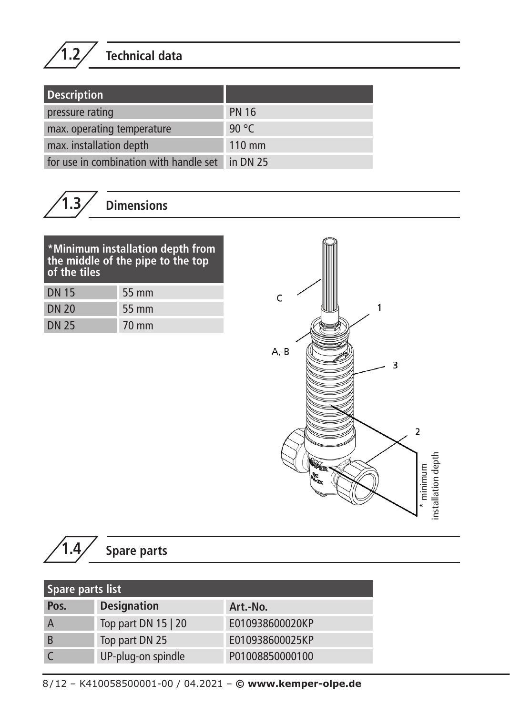# **1.2 Technical data**

| <b>Description</b>                              |                  |
|-------------------------------------------------|------------------|
| pressure rating                                 | <b>PN 16</b>     |
| max. operating temperature                      | $90^{\circ}$ C   |
| max. installation depth                         | $110 \text{ mm}$ |
| for use in combination with handle set in DN 25 |                  |

**1.3 Dimensions**

**\*Minimum installation depth from the middle of the pipe to the top of the tiles**

| <b>DN 15</b> | 55 mm |
|--------------|-------|
| DN 20        | 55 mm |
| DN 25        | 70 mm |



**1.4 Spare parts**

| <b>Spare parts list</b> |                     |                 |  |
|-------------------------|---------------------|-----------------|--|
| Pos.                    | <b>Designation</b>  | Art.-No.        |  |
|                         | Top part DN 15   20 | E010938600020KP |  |
| B                       | Top part DN 25      | E010938600025KP |  |
|                         | UP-plug-on spindle  | P01008850000100 |  |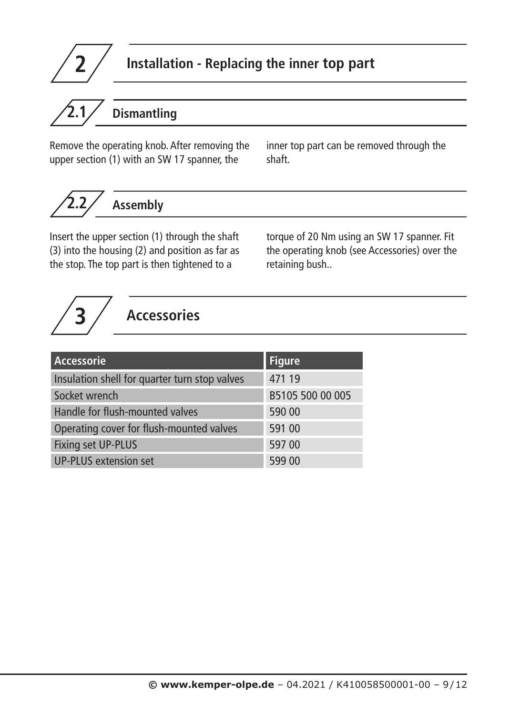

# **2 Installation - Replacing the inner top part**

**2.1 Dismantling**

Remove the operating knob. After removing the upper section (1) with an SW 17 spanner, the

inner top part can be removed through the shaft.



Insert the upper section (1) through the shaft (3) into the housing (2) and position as far as the stop. The top part is then tightened to a

torque of 20 Nm using an SW 17 spanner. Fit the operating knob (see Accessories) over the retaining bush..



### **3 Accessories**

| Accessorie                                    | <b>Figure</b>    |
|-----------------------------------------------|------------------|
| Insulation shell for quarter turn stop valves | 471 19           |
| Socket wrench                                 | B5105 500 00 005 |
| Handle for flush-mounted valves               | 590 00           |
| Operating cover for flush-mounted valves      | 591 00           |
| Fixing set UP-PLUS                            | 597 00           |
| <b>UP-PLUS</b> extension set                  | 599 00           |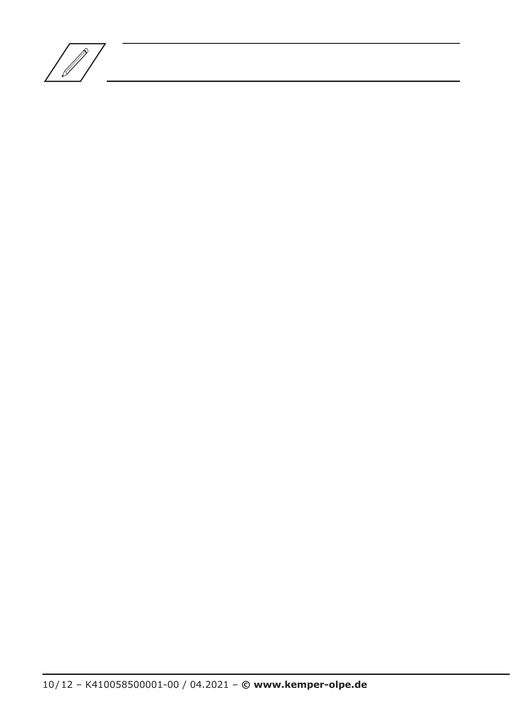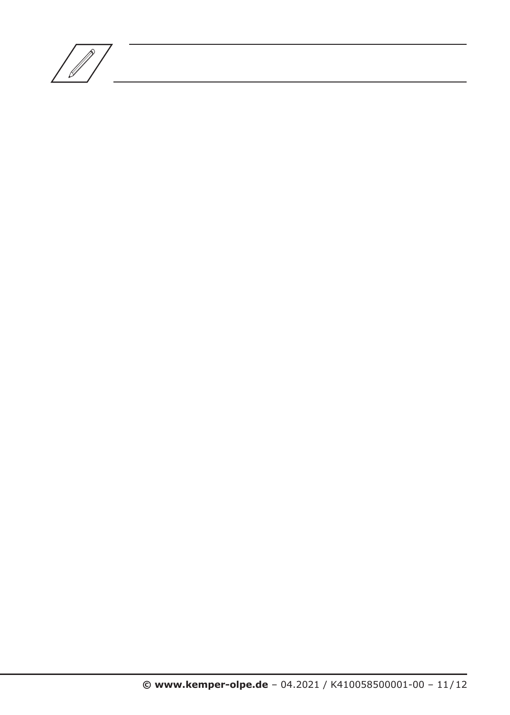